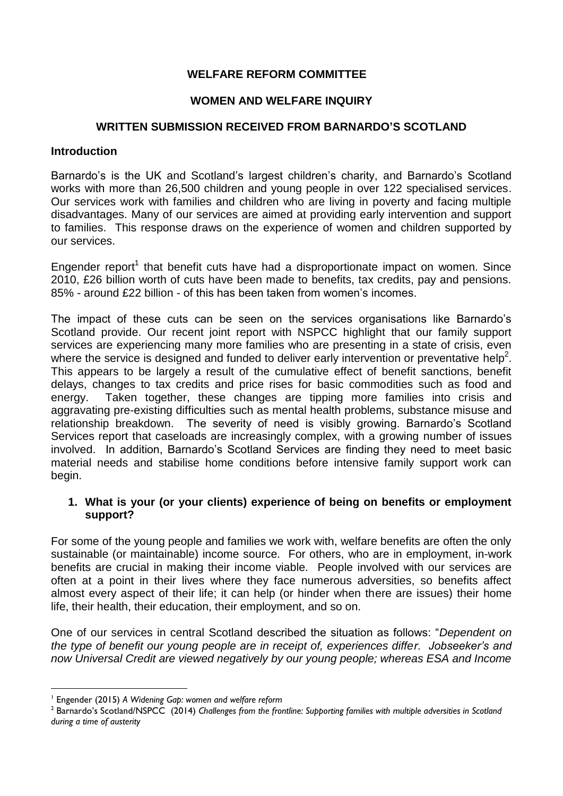# **WELFARE REFORM COMMITTEE**

# **WOMEN AND WELFARE INQUIRY**

# **WRITTEN SUBMISSION RECEIVED FROM BARNARDO'S SCOTLAND**

## **Introduction**

Barnardo's is the UK and Scotland's largest children's charity, and Barnardo's Scotland works with more than 26,500 children and young people in over 122 specialised services. Our services work with families and children who are living in poverty and facing multiple disadvantages. Many of our services are aimed at providing early intervention and support to families. This response draws on the experience of women and children supported by our services.

Engender report<sup>1</sup> that benefit cuts have had a disproportionate impact on women. Since 2010, £26 billion worth of cuts have been made to benefits, tax credits, pay and pensions. 85% - around £22 billion - of this has been taken from women's incomes.

The impact of these cuts can be seen on the services organisations like Barnardo's Scotland provide. Our recent joint report with NSPCC highlight that our family support services are experiencing many more families who are presenting in a state of crisis, even where the service is designed and funded to deliver early intervention or preventative help<sup>2</sup>. This appears to be largely a result of the cumulative effect of benefit sanctions, benefit delays, changes to tax credits and price rises for basic commodities such as food and energy. Taken together, these changes are tipping more families into crisis and aggravating pre-existing difficulties such as mental health problems, substance misuse and relationship breakdown. The severity of need is visibly growing. Barnardo's Scotland Services report that caseloads are increasingly complex, with a growing number of issues involved. In addition, Barnardo's Scotland Services are finding they need to meet basic material needs and stabilise home conditions before intensive family support work can begin.

## **1. What is your (or your clients) experience of being on benefits or employment support?**

For some of the young people and families we work with, welfare benefits are often the only sustainable (or maintainable) income source. For others, who are in employment, in-work benefits are crucial in making their income viable. People involved with our services are often at a point in their lives where they face numerous adversities, so benefits affect almost every aspect of their life; it can help (or hinder when there are issues) their home life, their health, their education, their employment, and so on.

One of our services in central Scotland described the situation as follows: "*Dependent on the type of benefit our young people are in receipt of, experiences differ. Jobseeker's and now Universal Credit are viewed negatively by our young people; whereas ESA and Income* 

1

<sup>1</sup> Engender (2015) *A Widening Gap: women and welfare reform*

<sup>2</sup> Barnardo's Scotland/NSPCC (2014) *Challenges from the frontline: Supporting families with multiple adversities in Scotland during a time of austerity*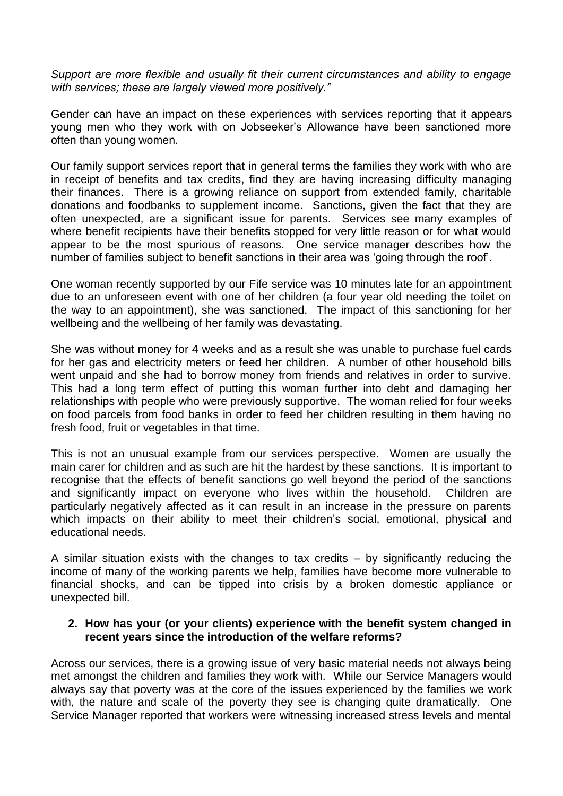*Support are more flexible and usually fit their current circumstances and ability to engage with services; these are largely viewed more positively."*

Gender can have an impact on these experiences with services reporting that it appears young men who they work with on Jobseeker's Allowance have been sanctioned more often than young women.

Our family support services report that in general terms the families they work with who are in receipt of benefits and tax credits, find they are having increasing difficulty managing their finances. There is a growing reliance on support from extended family, charitable donations and foodbanks to supplement income. Sanctions, given the fact that they are often unexpected, are a significant issue for parents. Services see many examples of where benefit recipients have their benefits stopped for very little reason or for what would appear to be the most spurious of reasons. One service manager describes how the number of families subject to benefit sanctions in their area was 'going through the roof'.

One woman recently supported by our Fife service was 10 minutes late for an appointment due to an unforeseen event with one of her children (a four year old needing the toilet on the way to an appointment), she was sanctioned. The impact of this sanctioning for her wellbeing and the wellbeing of her family was devastating.

She was without money for 4 weeks and as a result she was unable to purchase fuel cards for her gas and electricity meters or feed her children. A number of other household bills went unpaid and she had to borrow money from friends and relatives in order to survive. This had a long term effect of putting this woman further into debt and damaging her relationships with people who were previously supportive. The woman relied for four weeks on food parcels from food banks in order to feed her children resulting in them having no fresh food, fruit or vegetables in that time.

This is not an unusual example from our services perspective. Women are usually the main carer for children and as such are hit the hardest by these sanctions. It is important to recognise that the effects of benefit sanctions go well beyond the period of the sanctions and significantly impact on everyone who lives within the household. Children are particularly negatively affected as it can result in an increase in the pressure on parents which impacts on their ability to meet their children's social, emotional, physical and educational needs.

A similar situation exists with the changes to tax credits  $-$  by significantly reducing the income of many of the working parents we help, families have become more vulnerable to financial shocks, and can be tipped into crisis by a broken domestic appliance or unexpected bill.

#### **2. How has your (or your clients) experience with the benefit system changed in recent years since the introduction of the welfare reforms?**

Across our services, there is a growing issue of very basic material needs not always being met amongst the children and families they work with. While our Service Managers would always say that poverty was at the core of the issues experienced by the families we work with, the nature and scale of the poverty they see is changing quite dramatically. One Service Manager reported that workers were witnessing increased stress levels and mental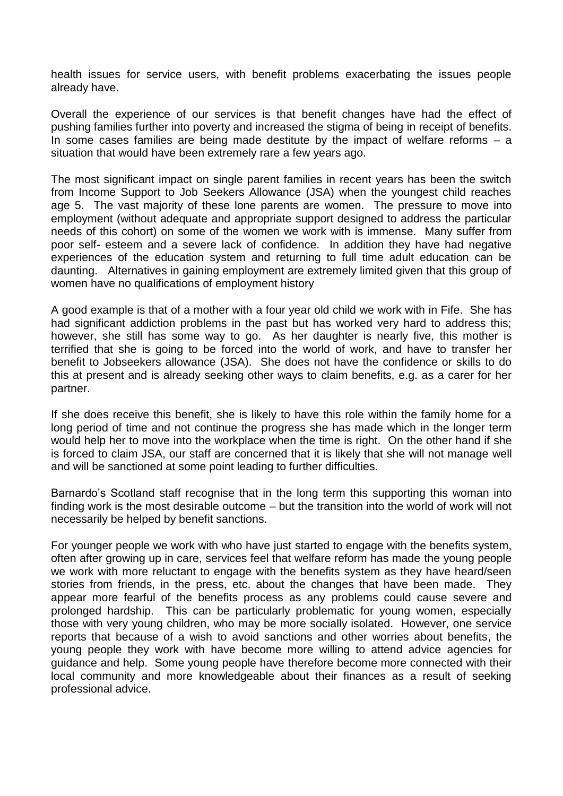health issues for service users, with benefit problems exacerbating the issues people already have.

Overall the experience of our services is that benefit changes have had the effect of pushing families further into poverty and increased the stigma of being in receipt of benefits. In some cases families are being made destitute by the impact of welfare reforms – a situation that would have been extremely rare a few years ago.

The most significant impact on single parent families in recent years has been the switch from Income Support to Job Seekers Allowance (JSA) when the youngest child reaches age 5. The vast majority of these lone parents are women. The pressure to move into employment (without adequate and appropriate support designed to address the particular needs of this cohort) on some of the women we work with is immense. Many suffer from poor self- esteem and a severe lack of confidence. In addition they have had negative experiences of the education system and returning to full time adult education can be daunting. Alternatives in gaining employment are extremely limited given that this group of women have no qualifications of employment history

A good example is that of a mother with a four year old child we work with in Fife. She has had significant addiction problems in the past but has worked very hard to address this; however, she still has some way to go. As her daughter is nearly five, this mother is terrified that she is going to be forced into the world of work, and have to transfer her benefit to Jobseekers allowance (JSA). She does not have the confidence or skills to do this at present and is already seeking other ways to claim benefits, e.g. as a carer for her partner.

If she does receive this benefit, she is likely to have this role within the family home for a long period of time and not continue the progress she has made which in the longer term would help her to move into the workplace when the time is right. On the other hand if she is forced to claim JSA, our staff are concerned that it is likely that she will not manage well and will be sanctioned at some point leading to further difficulties.

Barnardo's Scotland staff recognise that in the long term this supporting this woman into finding work is the most desirable outcome – but the transition into the world of work will not necessarily be helped by benefit sanctions.

For younger people we work with who have just started to engage with the benefits system, often after growing up in care, services feel that welfare reform has made the young people we work with more reluctant to engage with the benefits system as they have heard/seen stories from friends, in the press, etc. about the changes that have been made. They appear more fearful of the benefits process as any problems could cause severe and prolonged hardship. This can be particularly problematic for young women, especially those with very young children, who may be more socially isolated. However, one service reports that because of a wish to avoid sanctions and other worries about benefits, the young people they work with have become more willing to attend advice agencies for guidance and help. Some young people have therefore become more connected with their local community and more knowledgeable about their finances as a result of seeking professional advice.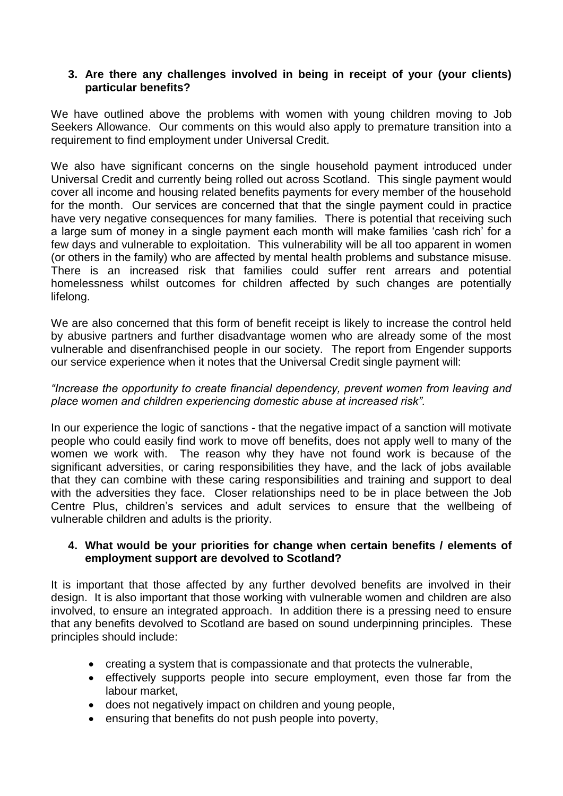## **3. Are there any challenges involved in being in receipt of your (your clients) particular benefits?**

We have outlined above the problems with women with young children moving to Job Seekers Allowance. Our comments on this would also apply to premature transition into a requirement to find employment under Universal Credit.

We also have significant concerns on the single household payment introduced under Universal Credit and currently being rolled out across Scotland. This single payment would cover all income and housing related benefits payments for every member of the household for the month. Our services are concerned that that the single payment could in practice have very negative consequences for many families. There is potential that receiving such a large sum of money in a single payment each month will make families 'cash rich' for a few days and vulnerable to exploitation. This vulnerability will be all too apparent in women (or others in the family) who are affected by mental health problems and substance misuse. There is an increased risk that families could suffer rent arrears and potential homelessness whilst outcomes for children affected by such changes are potentially lifelong.

We are also concerned that this form of benefit receipt is likely to increase the control held by abusive partners and further disadvantage women who are already some of the most vulnerable and disenfranchised people in our society. The report from Engender supports our service experience when it notes that the Universal Credit single payment will:

# *"Increase the opportunity to create financial dependency, prevent women from leaving and place women and children experiencing domestic abuse at increased risk".*

In our experience the logic of sanctions - that the negative impact of a sanction will motivate people who could easily find work to move off benefits, does not apply well to many of the women we work with. The reason why they have not found work is because of the significant adversities, or caring responsibilities they have, and the lack of jobs available that they can combine with these caring responsibilities and training and support to deal with the adversities they face. Closer relationships need to be in place between the Job Centre Plus, children's services and adult services to ensure that the wellbeing of vulnerable children and adults is the priority.

## **4. What would be your priorities for change when certain benefits / elements of employment support are devolved to Scotland?**

It is important that those affected by any further devolved benefits are involved in their design. It is also important that those working with vulnerable women and children are also involved, to ensure an integrated approach. In addition there is a pressing need to ensure that any benefits devolved to Scotland are based on sound underpinning principles. These principles should include:

- creating a system that is compassionate and that protects the vulnerable,
- effectively supports people into secure employment, even those far from the labour market,
- does not negatively impact on children and young people,
- ensuring that benefits do not push people into poverty,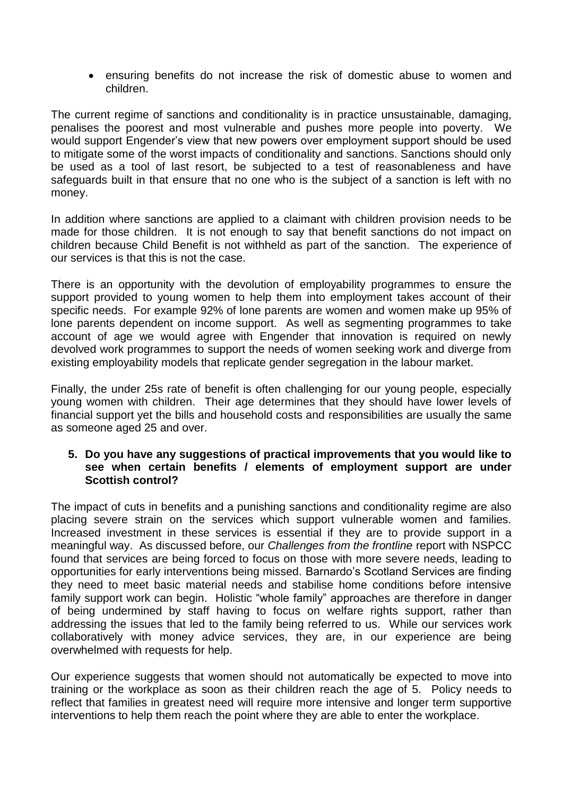ensuring benefits do not increase the risk of domestic abuse to women and children.

The current regime of sanctions and conditionality is in practice unsustainable, damaging, penalises the poorest and most vulnerable and pushes more people into poverty. We would support Engender's view that new powers over employment support should be used to mitigate some of the worst impacts of conditionality and sanctions. Sanctions should only be used as a tool of last resort, be subjected to a test of reasonableness and have safeguards built in that ensure that no one who is the subject of a sanction is left with no money.

In addition where sanctions are applied to a claimant with children provision needs to be made for those children. It is not enough to say that benefit sanctions do not impact on children because Child Benefit is not withheld as part of the sanction. The experience of our services is that this is not the case.

There is an opportunity with the devolution of employability programmes to ensure the support provided to young women to help them into employment takes account of their specific needs. For example 92% of lone parents are women and women make up 95% of lone parents dependent on income support. As well as segmenting programmes to take account of age we would agree with Engender that innovation is required on newly devolved work programmes to support the needs of women seeking work and diverge from existing employability models that replicate gender segregation in the labour market.

Finally, the under 25s rate of benefit is often challenging for our young people, especially young women with children. Their age determines that they should have lower levels of financial support yet the bills and household costs and responsibilities are usually the same as someone aged 25 and over.

#### **5. Do you have any suggestions of practical improvements that you would like to see when certain benefits / elements of employment support are under Scottish control?**

The impact of cuts in benefits and a punishing sanctions and conditionality regime are also placing severe strain on the services which support vulnerable women and families. Increased investment in these services is essential if they are to provide support in a meaningful way. As discussed before, our *Challenges from the frontline* report with NSPCC found that services are being forced to focus on those with more severe needs, leading to opportunities for early interventions being missed. Barnardo's Scotland Services are finding they need to meet basic material needs and stabilise home conditions before intensive family support work can begin. Holistic "whole family" approaches are therefore in danger of being undermined by staff having to focus on welfare rights support, rather than addressing the issues that led to the family being referred to us. While our services work collaboratively with money advice services, they are, in our experience are being overwhelmed with requests for help.

Our experience suggests that women should not automatically be expected to move into training or the workplace as soon as their children reach the age of 5. Policy needs to reflect that families in greatest need will require more intensive and longer term supportive interventions to help them reach the point where they are able to enter the workplace.